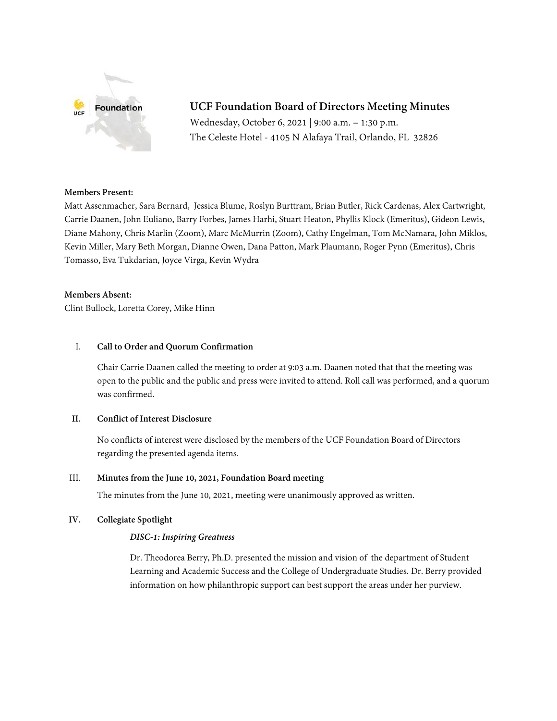

# **UCF Foundation Board of Directors Meeting Minutes**

Wednesday, October 6, 2021 | 9:00 a.m. – 1:30 p.m. The Celeste Hotel - 4105 N Alafaya Trail, Orlando, FL 32826

# **Members Present:**

Matt Assenmacher, Sara Bernard, Jessica Blume, Roslyn Burttram, Brian Butler, Rick Cardenas, Alex Cartwright, Carrie Daanen, John Euliano, Barry Forbes, James Harhi, Stuart Heaton, Phyllis Klock (Emeritus), Gideon Lewis, Diane Mahony, Chris Marlin (Zoom), Marc McMurrin (Zoom), Cathy Engelman, Tom McNamara, John Miklos, Kevin Miller, Mary Beth Morgan, Dianne Owen, Dana Patton, Mark Plaumann, Roger Pynn (Emeritus), Chris Tomasso, Eva Tukdarian, Joyce Virga, Kevin Wydra

## **Members Absent:**

Clint Bullock, Loretta Corey, Mike Hinn

## I. **Call to Order and Quorum Confirmation**

Chair Carrie Daanen called the meeting to order at 9:03 a.m. Daanen noted that that the meeting was open to the public and the public and press were invited to attend. Roll call was performed, and a quorum was confirmed.

### **II. Conflict of Interest Disclosure**

No conflicts of interest were disclosed by the members of the UCF Foundation Board of Directors regarding the presented agenda items.

### III. **Minutes from the June 10, 2021, Foundation Board meeting**

The minutes from the June 10, 2021, meeting were unanimously approved as written.

# **IV. Collegiate Spotlight**

### *DISC-1: Inspiring Greatness*

Dr. Theodorea Berry, Ph.D. presented the mission and vision of the department of Student Learning and Academic Success and the College of Undergraduate Studies. Dr. Berry provided information on how philanthropic support can best support the areas under her purview.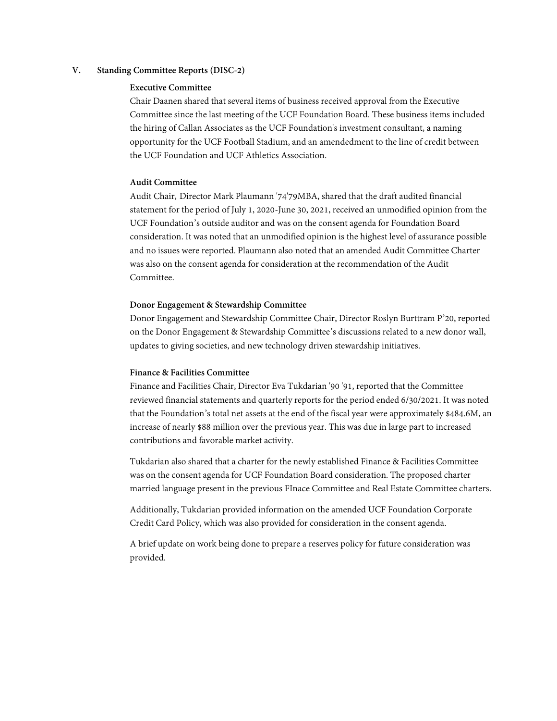### **V. Standing Committee Reports (DISC-2)**

#### **Executive Committee**

Chair Daanen shared that several items of business received approval from the Executive Committee since the last meeting of the UCF Foundation Board. These business items included the hiring of Callan Associates as the UCF Foundation's investment consultant, a naming opportunity for the UCF Football Stadium, and an amendedment to the line of credit between the UCF Foundation and UCF Athletics Association.

### **Audit Committee**

Audit Chair, Director Mark Plaumann '74'79MBA, shared that the draft audited financial statement for the period of July 1, 2020-June 30, 2021, received an unmodified opinion from the UCF Foundation's outside auditor and was on the consent agenda for Foundation Board consideration. It was noted that an unmodified opinion is the highest level of assurance possible and no issues were reported. Plaumann also noted that an amended Audit Committee Charter was also on the consent agenda for consideration at the recommendation of the Audit Committee.

#### **Donor Engagement & Stewardship Committee**

Donor Engagement and Stewardship Committee Chair, Director Roslyn Burttram P'20, reported on the Donor Engagement & Stewardship Committee's discussions related to a new donor wall, updates to giving societies, and new technology driven stewardship initiatives.

#### **Finance & Facilities Committee**

Finance and Facilities Chair, Director Eva Tukdarian '90 '91, reported that the Committee reviewed financial statements and quarterly reports for the period ended 6/30/2021. It was noted that the Foundation's total net assets at the end of the fiscal year were approximately \$484.6M, an increase of nearly \$88 million over the previous year. This was due in large part to increased contributions and favorable market activity.

Tukdarian also shared that a charter for the newly established Finance & Facilities Committee was on the consent agenda for UCF Foundation Board consideration. The proposed charter married language present in the previous FInace Committee and Real Estate Committee charters.

Additionally, Tukdarian provided information on the amended UCF Foundation Corporate Credit Card Policy, which was also provided for consideration in the consent agenda.

A brief update on work being done to prepare a reserves policy for future consideration was provided.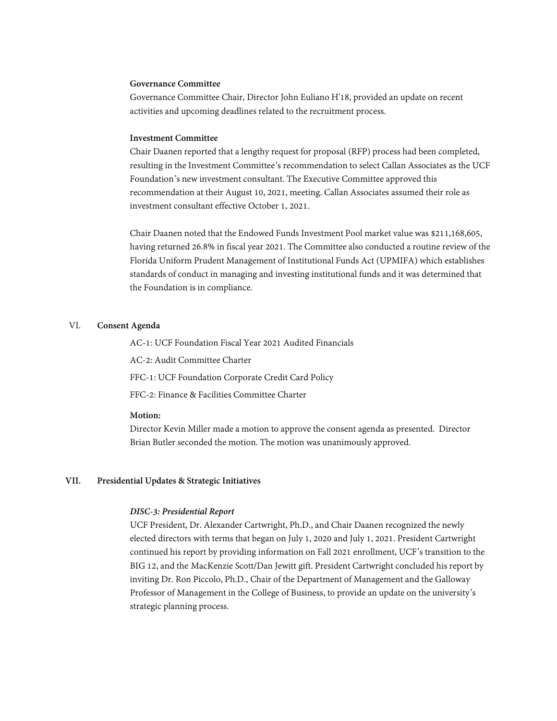#### **Governance Committee**

Governance Committee Chair, Director John Euliano H'18, provided an update on recent activities and upcoming deadlines related to the recruitment process.

#### **Investment Committee**

Chair Daanen reported that a lengthy request for proposal (RFP) process had been completed, resulting in the Investment Committee's recommendation to select Callan Associates as the UCF Foundation's new investment consultant. The Executive Committee approved this recommendation at their August 10, 2021, meeting. Callan Associates assumed their role as investment consultant effective October 1, 2021.

Chair Daanen noted that the Endowed Funds Investment Pool market value was \$211,168,605, having returned 26.8% in fiscal year 2021. The Committee also conducted a routine review of the Florida Uniform Prudent Management of Institutional Funds Act (UPMIFA) which establishes standards of conduct in managing and investing institutional funds and it was determined that the Foundation is in compliance.

## VI. **Consent Agenda**

AC-1: UCF Foundation Fiscal Year 2021 Audited Financials

AC-2: Audit Committee Charter

FFC-1: UCF Foundation Corporate Credit Card Policy

FFC-2: Finance & Facilities Committee Charter

#### **Motion:**

Director Kevin Miller made a motion to approve the consent agenda as presented. Director Brian Butler seconded the motion. The motion was unanimously approved.

### **VII. Presidential Updates & Strategic Initiatives**

#### *DISC-3: Presidential Report*

UCF President, Dr. Alexander Cartwright, Ph.D., and Chair Daanen recognized the newly elected directors with terms that began on July 1, 2020 and July 1, 2021. President Cartwright continued his report by providing information on Fall 2021 enrollment, UCF's transition to the BIG 12, and the MacKenzie Scott/Dan Jewitt gift. President Cartwright concluded his report by inviting Dr. Ron Piccolo, Ph.D., Chair of the Department of Management and the Galloway Professor of Management in the College of Business, to provide an update on the university's strategic planning process.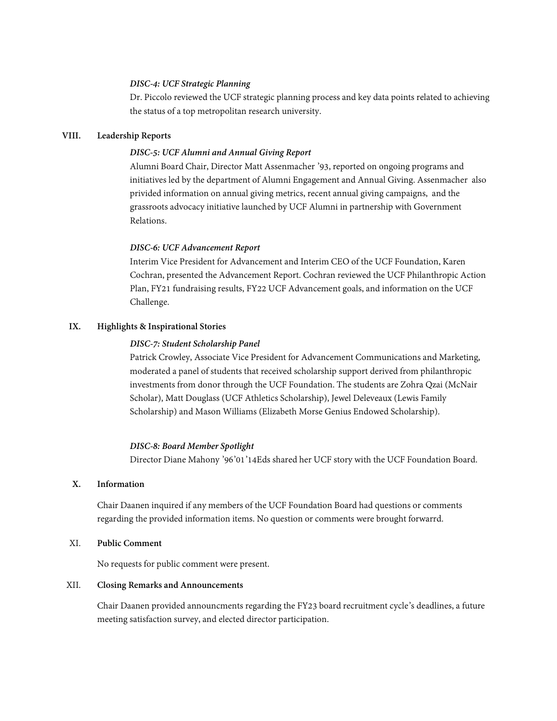#### *DISC-4: UCF Strategic Planning*

Dr. Piccolo reviewed the UCF strategic planning process and key data points related to achieving the status of a top metropolitan research university.

### **VIII. Leadership Reports**

### *DISC-5: UCF Alumni and Annual Giving Report*

Alumni Board Chair, Director Matt Assenmacher '93, reported on ongoing programs and initiatives led by the department of Alumni Engagement and Annual Giving. Assenmacher also privided information on annual giving metrics, recent annual giving campaigns, and the grassroots advocacy initiative launched by UCF Alumni in partnership with Government Relations.

#### *DISC-6: UCF Advancement Report*

Interim Vice President for Advancement and Interim CEO of the UCF Foundation, Karen Cochran, presented the Advancement Report. Cochran reviewed the UCF Philanthropic Action Plan, FY21 fundraising results, FY22 UCF Advancement goals, and information on the UCF Challenge.

#### **IX. Highlights & Inspirational Stories**

#### *DISC-7: Student Scholarship Panel*

Patrick Crowley, Associate Vice President for Advancement Communications and Marketing, moderated a panel of students that received scholarship support derived from philanthropic investments from donor through the UCF Foundation. The students are Zohra Qzai (McNair Scholar), Matt Douglass (UCF Athletics Scholarship), Jewel Deleveaux (Lewis Family Scholarship) and Mason Williams (Elizabeth Morse Genius Endowed Scholarship).

#### *DISC-8: Board Member Spotlight*

Director Diane Mahony '96'01'14Eds shared her UCF story with the UCF Foundation Board.

### **X. Information**

Chair Daanen inquired if any members of the UCF Foundation Board had questions or comments regarding the provided information items. No question or comments were brought forwarrd.

XI. **Public Comment**

No requests for public comment were present.

### XII. **Closing Remarks and Announcements**

Chair Daanen provided announcments regarding the FY23 board recruitment cycle's deadlines, a future meeting satisfaction survey, and elected director participation.